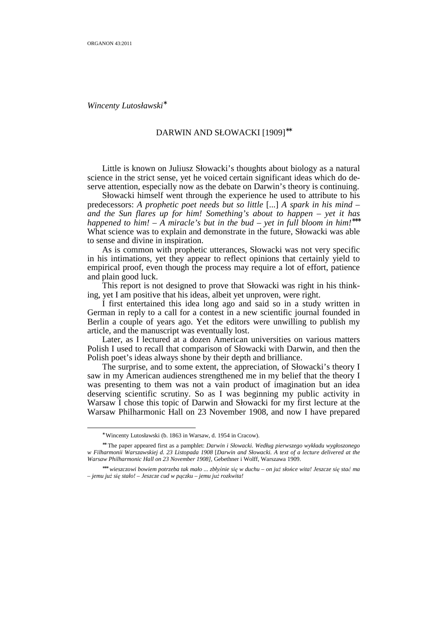*Wincenty Lutosławski*<sup>∗</sup>

## DARWIN AND SŁOWACKI [1909]∗∗

 Little is known on Juliusz Słowacki's thoughts about biology as a natural science in the strict sense, yet he voiced certain significant ideas which do deserve attention, especially now as the debate on Darwin's theory is continuing.

 Słowacki himself went through the experience he used to attribute to his predecessors: *A prophetic poet needs but so little* [...] *A spark in his mind – and the Sun flares up for him! Something's about to happen – yet it has happened to him! – A miracle's but in the bud – yet in full bloom in him!*∗∗∗ What science was to explain and demonstrate in the future, Słowacki was able to sense and divine in inspiration.

 As is common with prophetic utterances, Słowacki was not very specific in his intimations, yet they appear to reflect opinions that certainly yield to empirical proof, even though the process may require a lot of effort, patience and plain good luck.

 This report is not designed to prove that Słowacki was right in his thinking, yet I am positive that his ideas, albeit yet unproven, were right.

 I first entertained this idea long ago and said so in a study written in German in reply to a call for a contest in a new scientific journal founded in Berlin a couple of years ago. Yet the editors were unwilling to publish my article, and the manuscript was eventually lost.

 Later, as I lectured at a dozen American universities on various matters Polish I used to recall that comparison of Słowacki with Darwin, and then the Polish poet's ideas always shone by their depth and brilliance.

 The surprise, and to some extent, the appreciation, of Słowacki's theory I saw in my American audiences strengthened me in my belief that the theory I was presenting to them was not a vain product of imagination but an idea deserving scientific scrutiny. So as I was beginning my public activity in Warsaw I chose this topic of Darwin and Słowacki for my first lecture at the Warsaw Philharmonic Hall on 23 November 1908, and now I have prepared

<sup>∗</sup> Wincenty Lutosławski (b. 1863 in Warsaw, d. 1954 in Cracow).

<sup>∗∗</sup> The paper appeared first as a pamphlet: *Darwin i Słowacki. Według pierwszego wykładu wygłoszonego w Filharmonii Warszawskiej d. 23 Listopada 1908* [*Darwin and Słowacki. A text of a lecture delivered at the Warsaw Philharmonic Hall on 23 November 1908]*, Gebethner i Wolff, Warszawa 1909.

<sup>∗∗∗</sup> *wieszczowi bowiem potrzeba tak mało ... zbłyśnie się w duchu – on juŜ słońce wita! Jeszcze się stać ma – jemu juŜ się stało! – Jeszcze cud w pączku – jemu juŜ rozkwita!*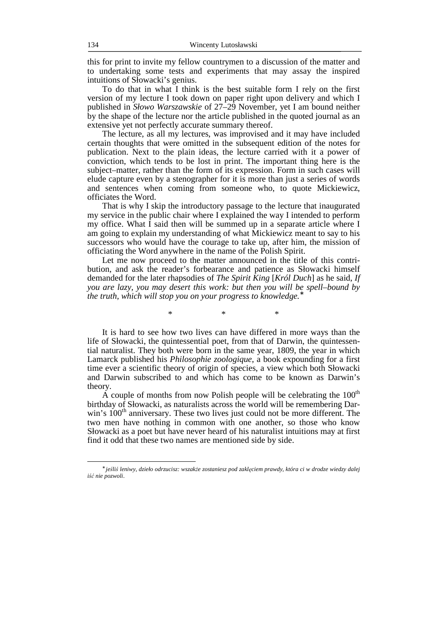this for print to invite my fellow countrymen to a discussion of the matter and to undertaking some tests and experiments that may assay the inspired intuitions of Słowacki's genius.

 To do that in what I think is the best suitable form I rely on the first version of my lecture I took down on paper right upon delivery and which I published in *Słowo Warszawskie* of 27–29 November, yet I am bound neither by the shape of the lecture nor the article published in the quoted journal as an extensive yet not perfectly accurate summary thereof.

 The lecture, as all my lectures, was improvised and it may have included certain thoughts that were omitted in the subsequent edition of the notes for publication. Next to the plain ideas, the lecture carried with it a power of conviction, which tends to be lost in print. The important thing here is the subject–matter, rather than the form of its expression. Form in such cases will elude capture even by a stenographer for it is more than just a series of words and sentences when coming from someone who, to quote Mickiewicz, officiates the Word.

 That is why I skip the introductory passage to the lecture that inaugurated my service in the public chair where I explained the way I intended to perform my office. What  $\overline{I}$  said then will be summed up in a separate article where  $\overline{I}$ am going to explain my understanding of what Mickiewicz meant to say to his successors who would have the courage to take up, after him, the mission of officiating the Word anywhere in the name of the Polish Spirit.

 Let me now proceed to the matter announced in the title of this contribution, and ask the reader's forbearance and patience as Słowacki himself demanded for the later rhapsodies of *The Spirit King* [*Król Duch*] as he said, *If you are lazy, you may desert this work: but then you will be spell–bound by the truth, which will stop you on your progress to knowledge.*<sup>∗</sup>

\* \* \*

 It is hard to see how two lives can have differed in more ways than the life of Słowacki, the quintessential poet, from that of Darwin, the quintessential naturalist. They both were born in the same year, 1809, the year in which Lamarck published his *Philosophie zoologique*, a book expounding for a first time ever a scientific theory of origin of species, a view which both Słowacki and Darwin subscribed to and which has come to be known as Darwin's theory.

A couple of months from now Polish people will be celebrating the  $100<sup>th</sup>$ birthday of Słowacki, as naturalists across the world will be remembering Darwin's  $100<sup>th</sup>$  anniversary. These two lives just could not be more different. The two men have nothing in common with one another, so those who know Słowacki as a poet but have never heard of his naturalist intuitions may at first find it odd that these two names are mentioned side by side.

<sup>∗</sup> *jeśliś leniwy, dzieło odrzucisz: wszakŜe zostaniesz pod zaklęciem prawdy, która ci w drodze wiedzy dalej iść nie pozwoli*.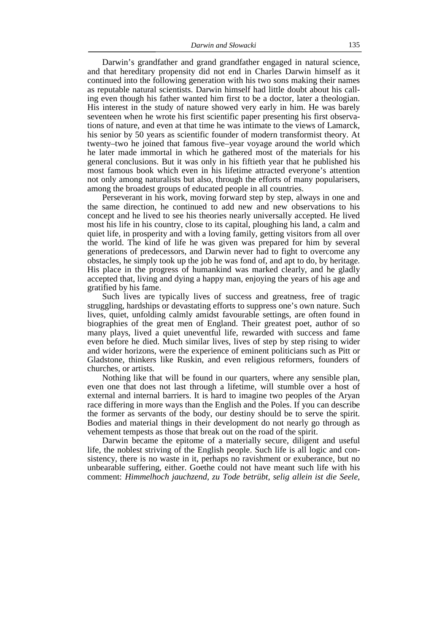Darwin's grandfather and grand grandfather engaged in natural science, and that hereditary propensity did not end in Charles Darwin himself as it continued into the following generation with his two sons making their names as reputable natural scientists. Darwin himself had little doubt about his calling even though his father wanted him first to be a doctor, later a theologian. His interest in the study of nature showed very early in him. He was barely seventeen when he wrote his first scientific paper presenting his first observations of nature, and even at that time he was intimate to the views of Lamarck, his senior by 50 years as scientific founder of modern transformist theory. At twenty–two he joined that famous five–year voyage around the world which he later made immortal in which he gathered most of the materials for his general conclusions. But it was only in his fiftieth year that he published his most famous book which even in his lifetime attracted everyone's attention not only among naturalists but also, through the efforts of many popularisers, among the broadest groups of educated people in all countries.

 Perseverant in his work, moving forward step by step, always in one and the same direction, he continued to add new and new observations to his concept and he lived to see his theories nearly universally accepted. He lived most his life in his country, close to its capital, ploughing his land, a calm and quiet life, in prosperity and with a loving family, getting visitors from all over the world. The kind of life he was given was prepared for him by several generations of predecessors, and Darwin never had to fight to overcome any obstacles, he simply took up the job he was fond of, and apt to do, by heritage. His place in the progress of humankind was marked clearly, and he gladly accepted that, living and dying a happy man, enjoying the years of his age and gratified by his fame.

 Such lives are typically lives of success and greatness, free of tragic struggling, hardships or devastating efforts to suppress one's own nature. Such lives, quiet, unfolding calmly amidst favourable settings, are often found in biographies of the great men of England. Their greatest poet, author of so many plays, lived a quiet uneventful life, rewarded with success and fame even before he died. Much similar lives, lives of step by step rising to wider and wider horizons, were the experience of eminent politicians such as Pitt or Gladstone, thinkers like Ruskin, and even religious reformers, founders of churches, or artists.

 Nothing like that will be found in our quarters, where any sensible plan, even one that does not last through a lifetime, will stumble over a host of external and internal barriers. It is hard to imagine two peoples of the Aryan race differing in more ways than the English and the Poles. If you can describe the former as servants of the body, our destiny should be to serve the spirit. Bodies and material things in their development do not nearly go through as vehement tempests as those that break out on the road of the spirit.

 Darwin became the epitome of a materially secure, diligent and useful life, the noblest striving of the English people. Such life is all logic and consistency, there is no waste in it, perhaps no ravishment or exuberance, but no unbearable suffering, either. Goethe could not have meant such life with his comment: *Himmelhoch jauchzend, zu Tode betrübt, selig allein ist die Seele,*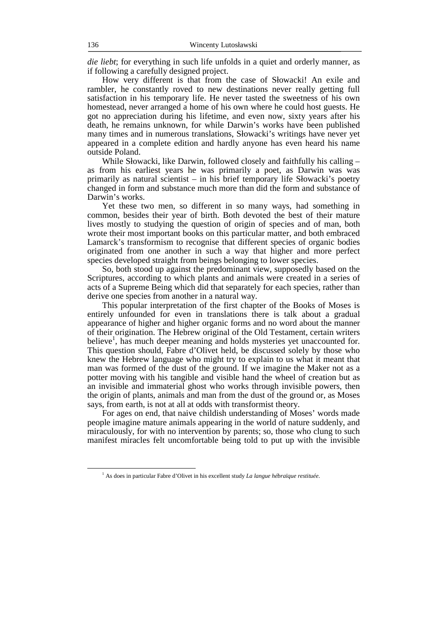*die liebt*; for everything in such life unfolds in a quiet and orderly manner, as if following a carefully designed project.

 How very different is that from the case of Słowacki! An exile and rambler, he constantly roved to new destinations never really getting full satisfaction in his temporary life. He never tasted the sweetness of his own homestead, never arranged a home of his own where he could host guests. He got no appreciation during his lifetime, and even now, sixty years after his death, he remains unknown, for while Darwin's works have been published many times and in numerous translations, Słowacki's writings have never yet appeared in a complete edition and hardly anyone has even heard his name outside Poland.

 While Słowacki, like Darwin, followed closely and faithfully his calling – as from his earliest years he was primarily a poet, as Darwin was was primarily as natural scientist – in his brief temporary life Słowacki's poetry changed in form and substance much more than did the form and substance of Darwin's works.

 Yet these two men, so different in so many ways, had something in common, besides their year of birth. Both devoted the best of their mature lives mostly to studying the question of origin of species and of man, both wrote their most important books on this particular matter, and both embraced Lamarck's transformism to recognise that different species of organic bodies originated from one another in such a way that higher and more perfect species developed straight from beings belonging to lower species.

 So, both stood up against the predominant view, supposedly based on the Scriptures, according to which plants and animals were created in a series of acts of a Supreme Being which did that separately for each species, rather than derive one species from another in a natural way.

 This popular interpretation of the first chapter of the Books of Moses is entirely unfounded for even in translations there is talk about a gradual appearance of higher and higher organic forms and no word about the manner of their origination. The Hebrew original of the Old Testament, certain writers believe<sup>1</sup>, has much deeper meaning and holds mysteries yet unaccounted for. This question should, Fabre d'Olivet held, be discussed solely by those who knew the Hebrew language who might try to explain to us what it meant that man was formed of the dust of the ground. If we imagine the Maker not as a potter moving with his tangible and visible hand the wheel of creation but as an invisible and immaterial ghost who works through invisible powers, then the origin of plants, animals and man from the dust of the ground or, as Moses says, from earth, is not at all at odds with transformist theory.

 For ages on end, that naive childish understanding of Moses' words made people imagine mature animals appearing in the world of nature suddenly, and miraculously, for with no intervention by parents; so, those who clung to such manifest miracles felt uncomfortable being told to put up with the invisible

<sup>1</sup> As does in particular Fabre d'Olivet in his excellent study *La langue hébraïque restituée*.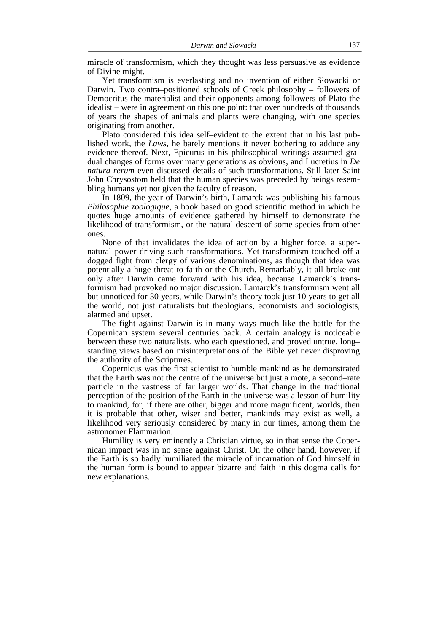miracle of transformism, which they thought was less persuasive as evidence of Divine might.

 Yet transformism is everlasting and no invention of either Słowacki or Darwin. Two contra–positioned schools of Greek philosophy – followers of Democritus the materialist and their opponents among followers of Plato the idealist – were in agreement on this one point: that over hundreds of thousands of years the shapes of animals and plants were changing, with one species originating from another.

 Plato considered this idea self–evident to the extent that in his last published work, the *Laws*, he barely mentions it never bothering to adduce any evidence thereof. Next, Epicurus in his philosophical writings assumed gradual changes of forms over many generations as obvious, and Lucretius in *De natura rerum* even discussed details of such transformations. Still later Saint John Chrysostom held that the human species was preceded by beings resembling humans yet not given the faculty of reason.

 In 1809, the year of Darwin's birth, Lamarck was publishing his famous *Philosophie zoologique*, a book based on good scientific method in which he quotes huge amounts of evidence gathered by himself to demonstrate the likelihood of transformism, or the natural descent of some species from other ones.

 None of that invalidates the idea of action by a higher force, a supernatural power driving such transformations. Yet transformism touched off a dogged fight from clergy of various denominations, as though that idea was potentially a huge threat to faith or the Church. Remarkably, it all broke out only after Darwin came forward with his idea, because Lamarck's transformism had provoked no major discussion. Lamarck's transformism went all but unnoticed for 30 years, while Darwin's theory took just 10 years to get all the world, not just naturalists but theologians, economists and sociologists, alarmed and upset.

 The fight against Darwin is in many ways much like the battle for the Copernican system several centuries back. A certain analogy is noticeable between these two naturalists, who each questioned, and proved untrue, long– standing views based on misinterpretations of the Bible yet never disproving the authority of the Scriptures.

 Copernicus was the first scientist to humble mankind as he demonstrated that the Earth was not the centre of the universe but just a mote, a second–rate particle in the vastness of far larger worlds. That change in the traditional perception of the position of the Earth in the universe was a lesson of humility to mankind, for, if there are other, bigger and more magnificent, worlds, then it is probable that other, wiser and better, mankinds may exist as well, a likelihood very seriously considered by many in our times, among them the astronomer Flammarion.

 Humility is very eminently a Christian virtue, so in that sense the Copernican impact was in no sense against Christ. On the other hand, however, if the Earth is so badly humiliated the miracle of incarnation of God himself in the human form is bound to appear bizarre and faith in this dogma calls for new explanations.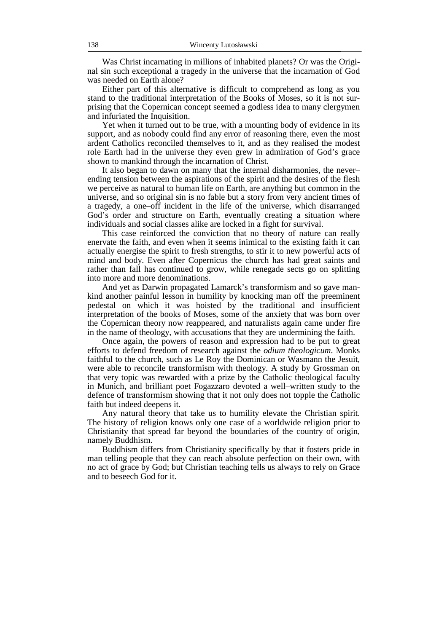Was Christ incarnating in millions of inhabited planets? Or was the Original sin such exceptional a tragedy in the universe that the incarnation of God was needed on Earth alone?

 Either part of this alternative is difficult to comprehend as long as you stand to the traditional interpretation of the Books of Moses, so it is not surprising that the Copernican concept seemed a godless idea to many clergymen and infuriated the Inquisition.

 Yet when it turned out to be true, with a mounting body of evidence in its support, and as nobody could find any error of reasoning there, even the most ardent Catholics reconciled themselves to it, and as they realised the modest role Earth had in the universe they even grew in admiration of God's grace shown to mankind through the incarnation of Christ.

 It also began to dawn on many that the internal disharmonies, the never– ending tension between the aspirations of the spirit and the desires of the flesh we perceive as natural to human life on Earth, are anything but common in the universe, and so original sin is no fable but a story from very ancient times of a tragedy, a one–off incident in the life of the universe, which disarranged God's order and structure on Earth, eventually creating a situation where individuals and social classes alike are locked in a fight for survival.

 This case reinforced the conviction that no theory of nature can really enervate the faith, and even when it seems inimical to the existing faith it can actually energise the spirit to fresh strengths, to stir it to new powerful acts of mind and body. Even after Copernicus the church has had great saints and rather than fall has continued to grow, while renegade sects go on splitting into more and more denominations.

 And yet as Darwin propagated Lamarck's transformism and so gave mankind another painful lesson in humility by knocking man off the preeminent pedestal on which it was hoisted by the traditional and insufficient interpretation of the books of Moses, some of the anxiety that was born over the Copernican theory now reappeared, and naturalists again came under fire in the name of theology, with accusations that they are undermining the faith.

 Once again, the powers of reason and expression had to be put to great efforts to defend freedom of research against the *odium theologicum*. Monks faithful to the church, such as Le Roy the Dominican or Wasmann the Jesuit, were able to reconcile transformism with theology. A study by Grossman on that very topic was rewarded with a prize by the Catholic theological faculty in Munich, and brilliant poet Fogazzaro devoted a well–written study to the defence of transformism showing that it not only does not topple the Catholic faith but indeed deepens it.

 Any natural theory that take us to humility elevate the Christian spirit. The history of religion knows only one case of a worldwide religion prior to Christianity that spread far beyond the boundaries of the country of origin, namely Buddhism.

 Buddhism differs from Christianity specifically by that it fosters pride in man telling people that they can reach absolute perfection on their own, with no act of grace by God; but Christian teaching tells us always to rely on Grace and to beseech God for it.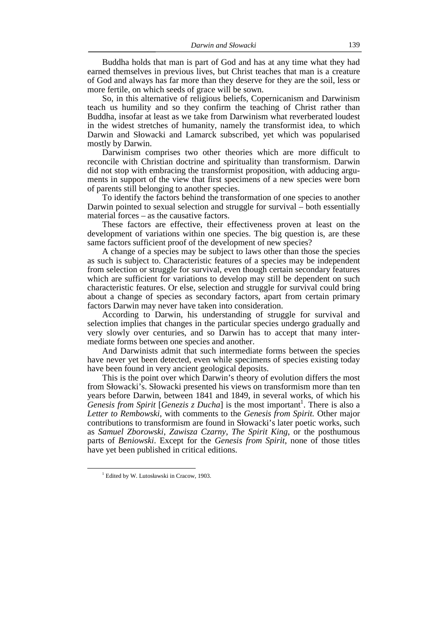Buddha holds that man is part of God and has at any time what they had earned themselves in previous lives, but Christ teaches that man is a creature of God and always has far more than they deserve for they are the soil, less or more fertile, on which seeds of grace will be sown.

 So, in this alternative of religious beliefs, Copernicanism and Darwinism teach us humility and so they confirm the teaching of Christ rather than Buddha, insofar at least as we take from Darwinism what reverberated loudest in the widest stretches of humanity, namely the transformist idea, to which Darwin and Słowacki and Lamarck subscribed, yet which was popularised mostly by Darwin.

 Darwinism comprises two other theories which are more difficult to reconcile with Christian doctrine and spirituality than transformism. Darwin did not stop with embracing the transformist proposition, with adducing arguments in support of the view that first specimens of a new species were born of parents still belonging to another species.

 To identify the factors behind the transformation of one species to another Darwin pointed to sexual selection and struggle for survival – both essentially material forces – as the causative factors.

 These factors are effective, their effectiveness proven at least on the development of variations within one species. The big question is, are these same factors sufficient proof of the development of new species?

 A change of a species may be subject to laws other than those the species as such is subject to. Characteristic features of a species may be independent from selection or struggle for survival, even though certain secondary features which are sufficient for variations to develop may still be dependent on such characteristic features. Or else, selection and struggle for survival could bring about a change of species as secondary factors, apart from certain primary factors Darwin may never have taken into consideration.

 According to Darwin, his understanding of struggle for survival and selection implies that changes in the particular species undergo gradually and very slowly over centuries, and so Darwin has to accept that many intermediate forms between one species and another.

 And Darwinists admit that such intermediate forms between the species have never yet been detected, even while specimens of species existing today have been found in very ancient geological deposits.

 This is the point over which Darwin's theory of evolution differs the most from Słowacki's. Słowacki presented his views on transformism more than ten years before Darwin, between 1841 and 1849, in several works, of which his *Genesis from Spirit* [*Genezis z Ducha*] is the most important<sup>1</sup>. There is also a *Letter to Rembowski*, with comments to the *Genesis from Spirit.* Other major contributions to transformism are found in Słowacki's later poetic works, such as *Samuel Zborowski*, *Zawisza Czarny*, *The Spirit King*, or the posthumous parts of *Beniowski*. Except for the *Genesis from Spirit*, none of those titles have yet been published in critical editions.

<sup>&</sup>lt;sup>1</sup> Edited by W. Lutosławski in Cracow, 1903.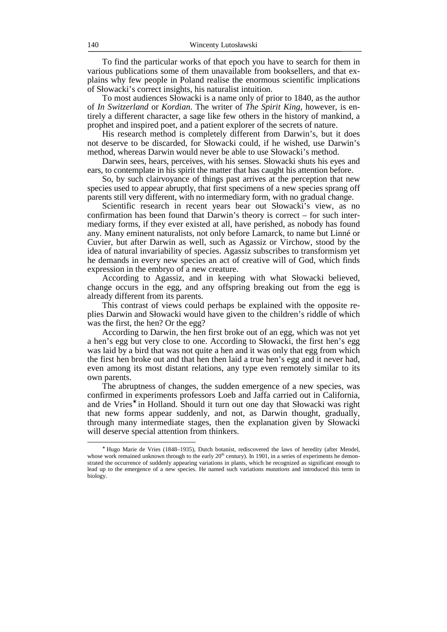To find the particular works of that epoch you have to search for them in various publications some of them unavailable from booksellers, and that explains why few people in Poland realise the enormous scientific implications of Słowacki's correct insights, his naturalist intuition.

 To most audiences Słowacki is a name only of prior to 1840, as the author of *In Switzerland* or *Kordian*. The writer of *The Spirit King*, however, is entirely a different character, a sage like few others in the history of mankind, a prophet and inspired poet, and a patient explorer of the secrets of nature.

 His research method is completely different from Darwin's, but it does not deserve to be discarded, for Słowacki could, if he wished, use Darwin's method, whereas Darwin would never be able to use Słowacki's method.

 Darwin sees, hears, perceives, with his senses. Słowacki shuts his eyes and ears, to contemplate in his spirit the matter that has caught his attention before.

 So, by such clairvoyance of things past arrives at the perception that new species used to appear abruptly, that first specimens of a new species sprang off parents still very different, with no intermediary form, with no gradual change.

 Scientific research in recent years bear out Słowacki's view, as no confirmation has been found that Darwin's theory is correct – for such intermediary forms, if they ever existed at all, have perished, as nobody has found any. Many eminent naturalists, not only before Lamarck, to name but Linné or Cuvier, but after Darwin as well, such as Agassiz or Virchow, stood by the idea of natural invariability of species. Agassiz subscribes to transformism yet he demands in every new species an act of creative will of God, which finds expression in the embryo of a new creature.

 According to Agassiz, and in keeping with what Słowacki believed, change occurs in the egg, and any offspring breaking out from the egg is already different from its parents.

 This contrast of views could perhaps be explained with the opposite replies Darwin and Słowacki would have given to the children's riddle of which was the first, the hen? Or the egg?

 According to Darwin, the hen first broke out of an egg, which was not yet a hen's egg but very close to one. According to Słowacki, the first hen's egg was laid by a bird that was not quite a hen and it was only that egg from which the first hen broke out and that hen then laid a true hen's egg and it never had, even among its most distant relations, any type even remotely similar to its own parents.

 The abruptness of changes, the sudden emergence of a new species, was confirmed in experiments professors Loeb and Jaffa carried out in California, and de Vries<sup>\*</sup> in Holland. Should it turn out one day that Słowacki was right that new forms appear suddenly, and not, as Darwin thought, gradually, through many intermediate stages, then the explanation given by Słowacki will deserve special attention from thinkers.

<sup>∗</sup> Hugo Marie de Vries (1848–1935), Dutch botanist, rediscovered the laws of heredity (after Mendel, whose work remained unknown through to the early  $20<sup>th</sup>$  century). In 1901, in a series of experiments he demonstrated the occurrence of suddenly appearing variations in plants, which he recognized as significant enough to lead up to the emergence of a new species. He named such variations *mutations* and introduced this term in biology.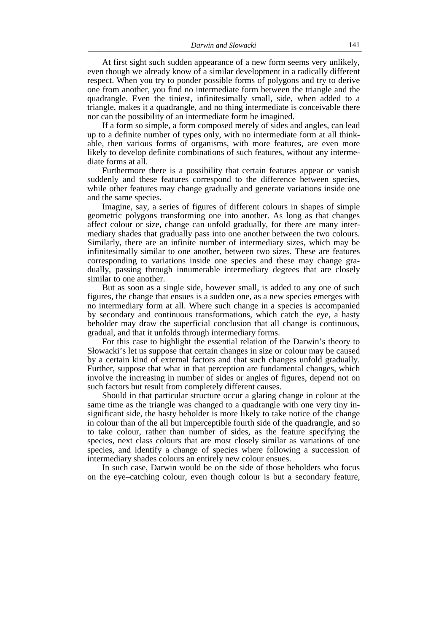At first sight such sudden appearance of a new form seems very unlikely, even though we already know of a similar development in a radically different respect. When you try to ponder possible forms of polygons and try to derive one from another, you find no intermediate form between the triangle and the quadrangle. Even the tiniest, infinitesimally small, side, when added to a triangle, makes it a quadrangle, and no thing intermediate is conceivable there nor can the possibility of an intermediate form be imagined.

 If a form so simple, a form composed merely of sides and angles, can lead up to a definite number of types only, with no intermediate form at all thinkable, then various forms of organisms, with more features, are even more likely to develop definite combinations of such features, without any intermediate forms at all.

 Furthermore there is a possibility that certain features appear or vanish suddenly and these features correspond to the difference between species, while other features may change gradually and generate variations inside one and the same species.

 Imagine, say, a series of figures of different colours in shapes of simple geometric polygons transforming one into another. As long as that changes affect colour or size, change can unfold gradually, for there are many intermediary shades that gradually pass into one another between the two colours. Similarly, there are an infinite number of intermediary sizes, which may be infinitesimally similar to one another, between two sizes. These are features corresponding to variations inside one species and these may change gradually, passing through innumerable intermediary degrees that are closely similar to one another.

 But as soon as a single side, however small, is added to any one of such figures, the change that ensues is a sudden one, as a new species emerges with no intermediary form at all. Where such change in a species is accompanied by secondary and continuous transformations, which catch the eye, a hasty beholder may draw the superficial conclusion that all change is continuous, gradual, and that it unfolds through intermediary forms.

 For this case to highlight the essential relation of the Darwin's theory to Słowacki's let us suppose that certain changes in size or colour may be caused by a certain kind of external factors and that such changes unfold gradually. Further, suppose that what in that perception are fundamental changes, which involve the increasing in number of sides or angles of figures, depend not on such factors but result from completely different causes.

 Should in that particular structure occur a glaring change in colour at the same time as the triangle was changed to a quadrangle with one very tiny insignificant side, the hasty beholder is more likely to take notice of the change in colour than of the all but imperceptible fourth side of the quadrangle, and so to take colour, rather than number of sides, as the feature specifying the species, next class colours that are most closely similar as variations of one species, and identify a change of species where following a succession of intermediary shades colours an entirely new colour ensues.

 In such case, Darwin would be on the side of those beholders who focus on the eye–catching colour, even though colour is but a secondary feature,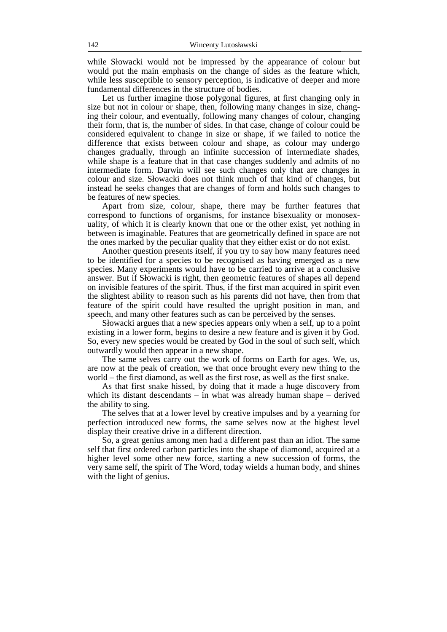while Słowacki would not be impressed by the appearance of colour but would put the main emphasis on the change of sides as the feature which, while less susceptible to sensory perception, is indicative of deeper and more fundamental differences in the structure of bodies.

 Let us further imagine those polygonal figures, at first changing only in size but not in colour or shape, then, following many changes in size, changing their colour, and eventually, following many changes of colour, changing their form, that is, the number of sides. In that case, change of colour could be considered equivalent to change in size or shape, if we failed to notice the difference that exists between colour and shape, as colour may undergo changes gradually, through an infinite succession of intermediate shades, while shape is a feature that in that case changes suddenly and admits of no intermediate form. Darwin will see such changes only that are changes in colour and size. Słowacki does not think much of that kind of changes, but instead he seeks changes that are changes of form and holds such changes to be features of new species.

 Apart from size, colour, shape, there may be further features that correspond to functions of organisms, for instance bisexuality or monosexuality, of which it is clearly known that one or the other exist, yet nothing in between is imaginable. Features that are geometrically defined in space are not the ones marked by the peculiar quality that they either exist or do not exist.

 Another question presents itself, if you try to say how many features need to be identified for a species to be recognised as having emerged as a new species. Many experiments would have to be carried to arrive at a conclusive answer. But if Słowacki is right, then geometric features of shapes all depend on invisible features of the spirit. Thus, if the first man acquired in spirit even the slightest ability to reason such as his parents did not have, then from that feature of the spirit could have resulted the upright position in man, and speech, and many other features such as can be perceived by the senses.

 Słowacki argues that a new species appears only when a self, up to a point existing in a lower form, begins to desire a new feature and is given it by God. So, every new species would be created by God in the soul of such self, which outwardly would then appear in a new shape.

 The same selves carry out the work of forms on Earth for ages. We, us, are now at the peak of creation, we that once brought every new thing to the world – the first diamond, as well as the first rose, as well as the first snake.

 As that first snake hissed, by doing that it made a huge discovery from which its distant descendants – in what was already human shape – derived the ability to sing.

 The selves that at a lower level by creative impulses and by a yearning for perfection introduced new forms, the same selves now at the highest level display their creative drive in a different direction.

 So, a great genius among men had a different past than an idiot. The same self that first ordered carbon particles into the shape of diamond, acquired at a higher level some other new force, starting a new succession of forms, the very same self, the spirit of The Word, today wields a human body, and shines with the light of genius.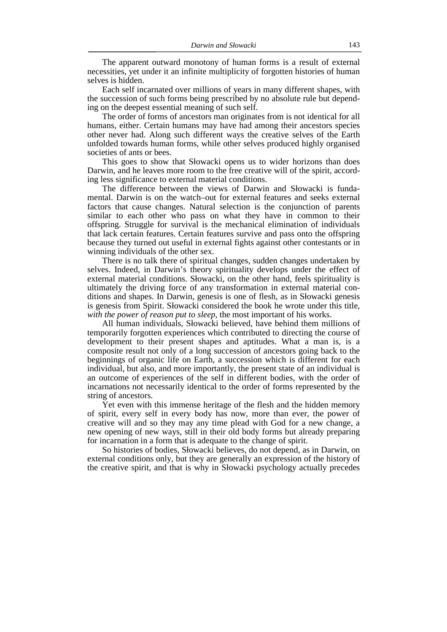The apparent outward monotony of human forms is a result of external necessities, yet under it an infinite multiplicity of forgotten histories of human selves is hidden.

 Each self incarnated over millions of years in many different shapes, with the succession of such forms being prescribed by no absolute rule but depending on the deepest essential meaning of such self.

 The order of forms of ancestors man originates from is not identical for all humans, either. Certain humans may have had among their ancestors species other never had. Along such different ways the creative selves of the Earth unfolded towards human forms, while other selves produced highly organised societies of ants or bees.

 This goes to show that Słowacki opens us to wider horizons than does Darwin, and he leaves more room to the free creative will of the spirit, according less significance to external material conditions.

 The difference between the views of Darwin and Słowacki is fundamental. Darwin is on the watch–out for external features and seeks external factors that cause changes. Natural selection is the conjunction of parents similar to each other who pass on what they have in common to their offspring. Struggle for survival is the mechanical elimination of individuals that lack certain features. Certain features survive and pass onto the offspring because they turned out useful in external fights against other contestants or in winning individuals of the other sex.

 There is no talk there of spiritual changes, sudden changes undertaken by selves. Indeed, in Darwin's theory spirituality develops under the effect of external material conditions. Słowacki, on the other hand, feels spirituality is ultimately the driving force of any transformation in external material conditions and shapes. In Darwin, genesis is one of flesh, as in Słowacki genesis is genesis from Spirit. Słowacki considered the book he wrote under this title, *with the power of reason put to sleep*, the most important of his works.

 All human individuals, Słowacki believed, have behind them millions of temporarily forgotten experiences which contributed to directing the course of development to their present shapes and aptitudes. What a man is, is a composite result not only of a long succession of ancestors going back to the beginnings of organic life on Earth, a succession which is different for each individual, but also, and more importantly, the present state of an individual is an outcome of experiences of the self in different bodies, with the order of incarnations not necessarily identical to the order of forms represented by the string of ancestors.

 Yet even with this immense heritage of the flesh and the hidden memory of spirit, every self in every body has now, more than ever, the power of creative will and so they may any time plead with God for a new change, a new opening of new ways, still in their old body forms but already preparing for incarnation in a form that is adequate to the change of spirit.

 So histories of bodies, Słowacki believes, do not depend, as in Darwin, on external conditions only, but they are generally an expression of the history of the creative spirit, and that is why in Słowacki psychology actually precedes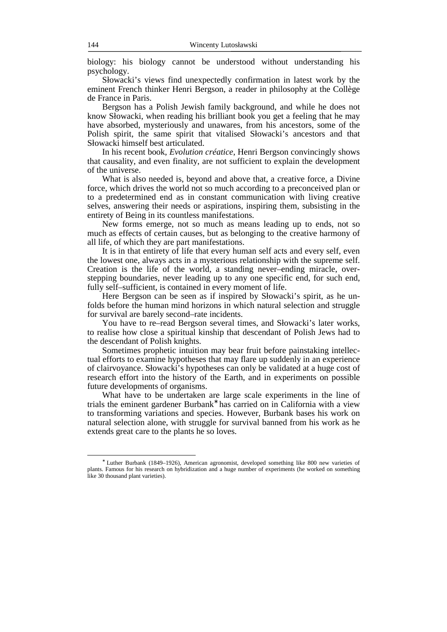biology: his biology cannot be understood without understanding his psychology.

 Słowacki's views find unexpectedly confirmation in latest work by the eminent French thinker Henri Bergson, a reader in philosophy at the Collège de France in Paris.

 Bergson has a Polish Jewish family background, and while he does not know Słowacki, when reading his brilliant book you get a feeling that he may have absorbed, mysteriously and unawares, from his ancestors, some of the Polish spirit, the same spirit that vitalised Słowacki's ancestors and that Słowacki himself best articulated.

 In his recent book, *Evolution créatice*, Henri Bergson convincingly shows that causality, and even finality, are not sufficient to explain the development of the universe.

 What is also needed is, beyond and above that, a creative force, a Divine force, which drives the world not so much according to a preconceived plan or to a predetermined end as in constant communication with living creative selves, answering their needs or aspirations, inspiring them, subsisting in the entirety of Being in its countless manifestations.

 New forms emerge, not so much as means leading up to ends, not so much as effects of certain causes, but as belonging to the creative harmony of all life, of which they are part manifestations.

 It is in that entirety of life that every human self acts and every self, even the lowest one, always acts in a mysterious relationship with the supreme self. Creation is the life of the world, a standing never–ending miracle, overstepping boundaries, never leading up to any one specific end, for such end, fully self–sufficient, is contained in every moment of life.

 Here Bergson can be seen as if inspired by Słowacki's spirit, as he unfolds before the human mind horizons in which natural selection and struggle for survival are barely second–rate incidents.

 You have to re–read Bergson several times, and Słowacki's later works, to realise how close a spiritual kinship that descendant of Polish Jews had to the descendant of Polish knights.

 Sometimes prophetic intuition may bear fruit before painstaking intellectual efforts to examine hypotheses that may flare up suddenly in an experience of clairvoyance. Słowacki's hypotheses can only be validated at a huge cost of research effort into the history of the Earth, and in experiments on possible future developments of organisms.

 What have to be undertaken are large scale experiments in the line of trials the eminent gardener Burbank<sup>∗</sup> has carried on in California with a view to transforming variations and species. However, Burbank bases his work on natural selection alone, with struggle for survival banned from his work as he extends great care to the plants he so loves.

<sup>∗</sup> Luther Burbank (1849–1926), American agronomist, developed something like 800 new varieties of plants. Famous for his research on hybridization and a huge number of experiments (he worked on something like 30 thousand plant varieties).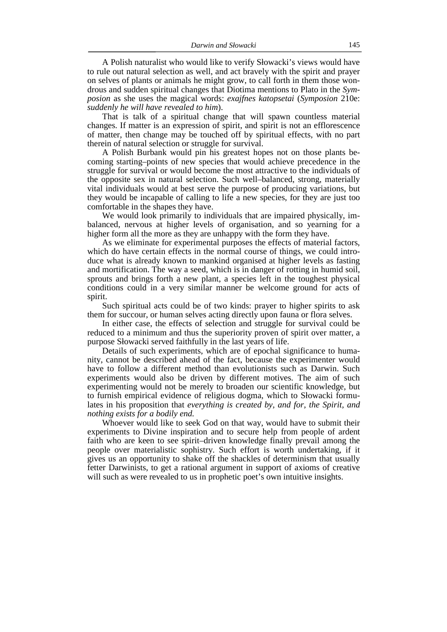A Polish naturalist who would like to verify Słowacki's views would have to rule out natural selection as well, and act bravely with the spirit and prayer on selves of plants or animals he might grow, to call forth in them those wondrous and sudden spiritual changes that Diotima mentions to Plato in the *Symposion* as she uses the magical words: *exajfnes katopsetai* (*Symposion* 210e: *suddenly he will have revealed to him*).

 That is talk of a spiritual change that will spawn countless material changes. If matter is an expression of spirit, and spirit is not an efflorescence of matter, then change may be touched off by spiritual effects, with no part therein of natural selection or struggle for survival.

 A Polish Burbank would pin his greatest hopes not on those plants becoming starting–points of new species that would achieve precedence in the struggle for survival or would become the most attractive to the individuals of the opposite sex in natural selection. Such well–balanced, strong, materially vital individuals would at best serve the purpose of producing variations, but they would be incapable of calling to life a new species, for they are just too comfortable in the shapes they have.

 We would look primarily to individuals that are impaired physically, imbalanced, nervous at higher levels of organisation, and so yearning for a higher form all the more as they are unhappy with the form they have.

 As we eliminate for experimental purposes the effects of material factors, which do have certain effects in the normal course of things, we could introduce what is already known to mankind organised at higher levels as fasting and mortification. The way a seed, which is in danger of rotting in humid soil, sprouts and brings forth a new plant, a species left in the toughest physical conditions could in a very similar manner be welcome ground for acts of spirit.

 Such spiritual acts could be of two kinds: prayer to higher spirits to ask them for succour, or human selves acting directly upon fauna or flora selves.

 In either case, the effects of selection and struggle for survival could be reduced to a minimum and thus the superiority proven of spirit over matter, a purpose Słowacki served faithfully in the last years of life.

 Details of such experiments, which are of epochal significance to humanity, cannot be described ahead of the fact, because the experimenter would have to follow a different method than evolutionists such as Darwin. Such experiments would also be driven by different motives. The aim of such experimenting would not be merely to broaden our scientific knowledge, but to furnish empirical evidence of religious dogma, which to Słowacki formulates in his proposition that *everything is created by, and for, the Spirit, and nothing exists for a bodily end.*

 Whoever would like to seek God on that way, would have to submit their experiments to Divine inspiration and to secure help from people of ardent faith who are keen to see spirit–driven knowledge finally prevail among the people over materialistic sophistry. Such effort is worth undertaking, if it gives us an opportunity to shake off the shackles of determinism that usually fetter Darwinists, to get a rational argument in support of axioms of creative will such as were revealed to us in prophetic poet's own intuitive insights.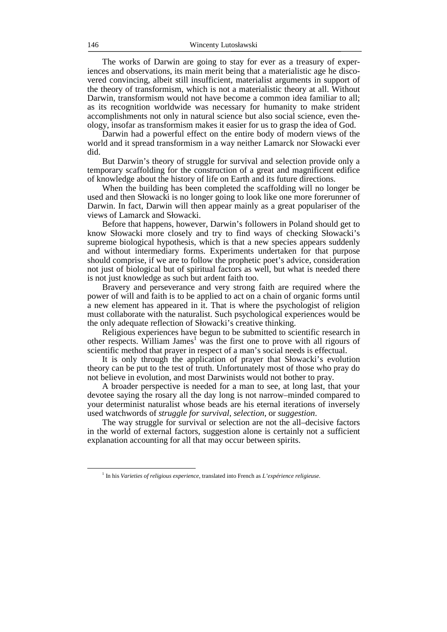The works of Darwin are going to stay for ever as a treasury of experiences and observations, its main merit being that a materialistic age he discovered convincing, albeit still insufficient, materialist arguments in support of the theory of transformism, which is not a materialistic theory at all. Without Darwin, transformism would not have become a common idea familiar to all; as its recognition worldwide was necessary for humanity to make strident accomplishments not only in natural science but also social science, even theology, insofar as transformism makes it easier for us to grasp the idea of God.

 Darwin had a powerful effect on the entire body of modern views of the world and it spread transformism in a way neither Lamarck nor Słowacki ever did.

 But Darwin's theory of struggle for survival and selection provide only a temporary scaffolding for the construction of a great and magnificent edifice of knowledge about the history of life on Earth and its future directions.

 When the building has been completed the scaffolding will no longer be used and then Słowacki is no longer going to look like one more forerunner of Darwin. In fact, Darwin will then appear mainly as a great populariser of the views of Lamarck and Słowacki.

 Before that happens, however, Darwin's followers in Poland should get to know Słowacki more closely and try to find ways of checking Słowacki's supreme biological hypothesis, which is that a new species appears suddenly and without intermediary forms. Experiments undertaken for that purpose should comprise, if we are to follow the prophetic poet's advice, consideration not just of biological but of spiritual factors as well, but what is needed there is not just knowledge as such but ardent faith too.

 Bravery and perseverance and very strong faith are required where the power of will and faith is to be applied to act on a chain of organic forms until a new element has appeared in it. That is where the psychologist of religion must collaborate with the naturalist. Such psychological experiences would be the only adequate reflection of Słowacki's creative thinking.

 Religious experiences have begun to be submitted to scientific research in other respects. William James<sup>1</sup> was the first one to prove with all rigours of scientific method that prayer in respect of a man's social needs is effectual.

 It is only through the application of prayer that Słowacki's evolution theory can be put to the test of truth. Unfortunately most of those who pray do not believe in evolution, and most Darwinists would not bother to pray.

 A broader perspective is needed for a man to see, at long last, that your devotee saying the rosary all the day long is not narrow–minded compared to your determinist naturalist whose beads are his eternal iterations of inversely used watchwords of *struggle for survival*, *selection*, or *suggestion*.

 The way struggle for survival or selection are not the all–decisive factors in the world of external factors, suggestion alone is certainly not a sufficient explanation accounting for all that may occur between spirits.

<sup>1</sup> In his *Varieties of religious experience*, translated into French as *L'expérience religieuse*.